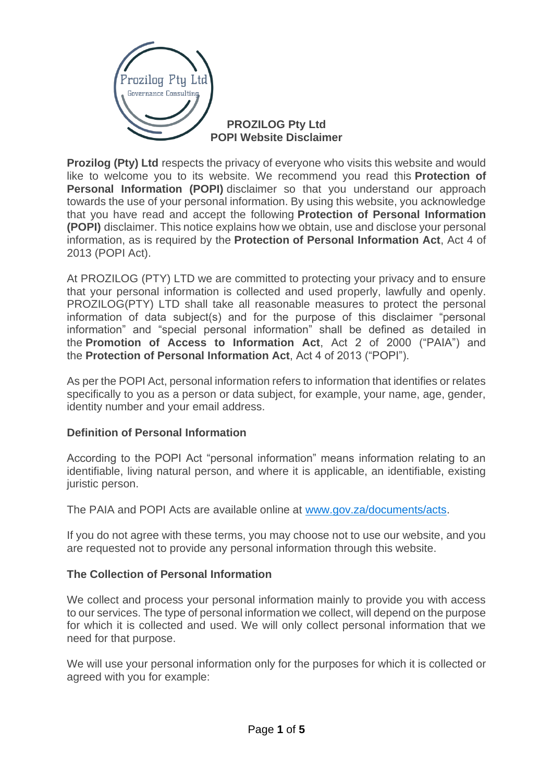

### **PROZILOG Pty Ltd POPI Website Disclaimer**

**Prozilog (Pty) Ltd** respects the privacy of everyone who visits this website and would like to welcome you to its website. We recommend you read this **Protection of Personal Information (POPI)** disclaimer so that you understand our approach towards the use of your personal information. By using this website, you acknowledge that you have read and accept the following **Protection of Personal Information (POPI)** disclaimer. This notice explains how we obtain, use and disclose your personal information, as is required by the **Protection of Personal Information Act**, Act 4 of 2013 (POPI Act).

At PROZILOG (PTY) LTD we are committed to protecting your privacy and to ensure that your personal information is collected and used properly, lawfully and openly. PROZILOG(PTY) LTD shall take all reasonable measures to protect the personal information of data subject(s) and for the purpose of this disclaimer "personal information" and "special personal information" shall be defined as detailed in the **Promotion of Access to Information Act**, Act 2 of 2000 ("PAIA") and the **Protection of Personal Information Act**, Act 4 of 2013 ("POPI").

As per the POPI Act, personal information refers to information that identifies or relates specifically to you as a person or data subject, for example, your name, age, gender, identity number and your email address.

# **Definition of Personal Information**

According to the POPI Act "personal information" means information relating to an identifiable, living natural person, and where it is applicable, an identifiable, existing juristic person.

The PAIA and POPI Acts are available online at [www.gov.za/documents/acts.](https://www.gov.za/documents/acts)

If you do not agree with these terms, you may choose not to use our website, and you are requested not to provide any personal information through this website.

# **The Collection of Personal Information**

We collect and process your personal information mainly to provide you with access to our services. The type of personal information we collect, will depend on the purpose for which it is collected and used. We will only collect personal information that we need for that purpose.

We will use your personal information only for the purposes for which it is collected or agreed with you for example: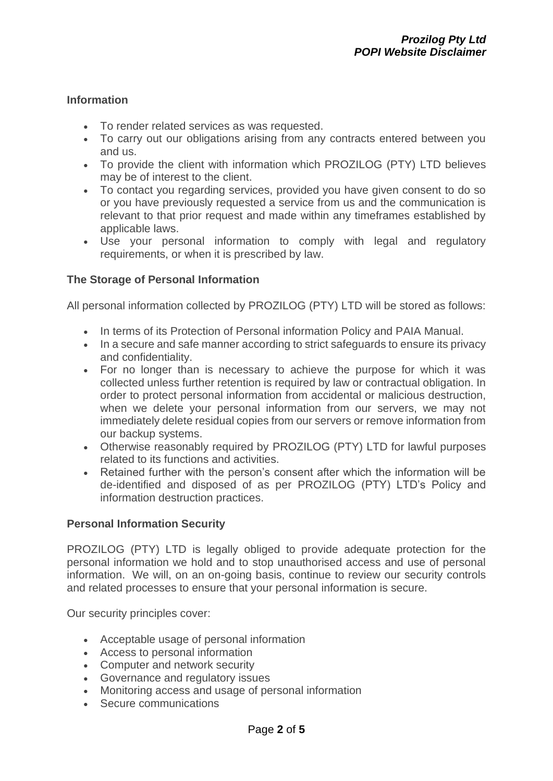### **Information**

- To render related services as was requested.
- To carry out our obligations arising from any contracts entered between you and us.
- To provide the client with information which PROZILOG (PTY) LTD believes may be of interest to the client.
- To contact you regarding services, provided you have given consent to do so or you have previously requested a service from us and the communication is relevant to that prior request and made within any timeframes established by applicable laws.
- Use your personal information to comply with legal and regulatory requirements, or when it is prescribed by law.

# **The Storage of Personal Information**

All personal information collected by PROZILOG (PTY) LTD will be stored as follows:

- In terms of its Protection of Personal information Policy and PAIA Manual.
- In a secure and safe manner according to strict safeguards to ensure its privacy and confidentiality.
- For no longer than is necessary to achieve the purpose for which it was collected unless further retention is required by law or contractual obligation. In order to protect personal information from accidental or malicious destruction, when we delete your personal information from our servers, we may not immediately delete residual copies from our servers or remove information from our backup systems.
- Otherwise reasonably required by PROZILOG (PTY) LTD for lawful purposes related to its functions and activities.
- Retained further with the person's consent after which the information will be de-identified and disposed of as per PROZILOG (PTY) LTD's Policy and information destruction practices.

#### **Personal Information Security**

PROZILOG (PTY) LTD is legally obliged to provide adequate protection for the personal information we hold and to stop unauthorised access and use of personal information. We will, on an on-going basis, continue to review our security controls and related processes to ensure that your personal information is secure.

Our security principles cover:

- Acceptable usage of personal information
- Access to personal information
- Computer and network security
- Governance and regulatory issues
- Monitoring access and usage of personal information
- Secure communications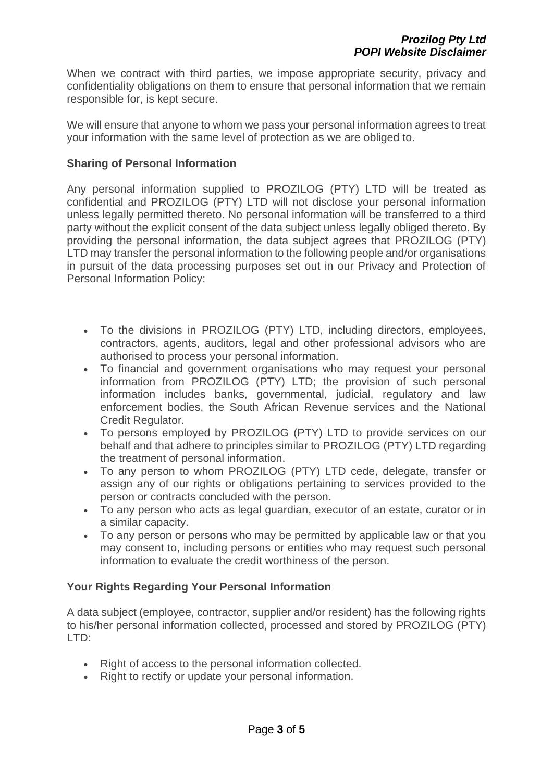When we contract with third parties, we impose appropriate security, privacy and confidentiality obligations on them to ensure that personal information that we remain responsible for, is kept secure.

We will ensure that anyone to whom we pass your personal information agrees to treat your information with the same level of protection as we are obliged to.

#### **Sharing of Personal Information**

Any personal information supplied to PROZILOG (PTY) LTD will be treated as confidential and PROZILOG (PTY) LTD will not disclose your personal information unless legally permitted thereto. No personal information will be transferred to a third party without the explicit consent of the data subject unless legally obliged thereto. By providing the personal information, the data subject agrees that PROZILOG (PTY) LTD may transfer the personal information to the following people and/or organisations in pursuit of the data processing purposes set out in our Privacy and Protection of Personal Information Policy:

- To the divisions in PROZILOG (PTY) LTD, including directors, employees, contractors, agents, auditors, legal and other professional advisors who are authorised to process your personal information.
- To financial and government organisations who may request your personal information from PROZILOG (PTY) LTD; the provision of such personal information includes banks, governmental, judicial, regulatory and law enforcement bodies, the South African Revenue services and the National Credit Regulator.
- To persons employed by PROZILOG (PTY) LTD to provide services on our behalf and that adhere to principles similar to PROZILOG (PTY) LTD regarding the treatment of personal information.
- To any person to whom PROZILOG (PTY) LTD cede, delegate, transfer or assign any of our rights or obligations pertaining to services provided to the person or contracts concluded with the person.
- To any person who acts as legal guardian, executor of an estate, curator or in a similar capacity.
- To any person or persons who may be permitted by applicable law or that you may consent to, including persons or entities who may request such personal information to evaluate the credit worthiness of the person.

#### **Your Rights Regarding Your Personal Information**

A data subject (employee, contractor, supplier and/or resident) has the following rights to his/her personal information collected, processed and stored by PROZILOG (PTY) LTD:

- Right of access to the personal information collected.
- Right to rectify or update your personal information.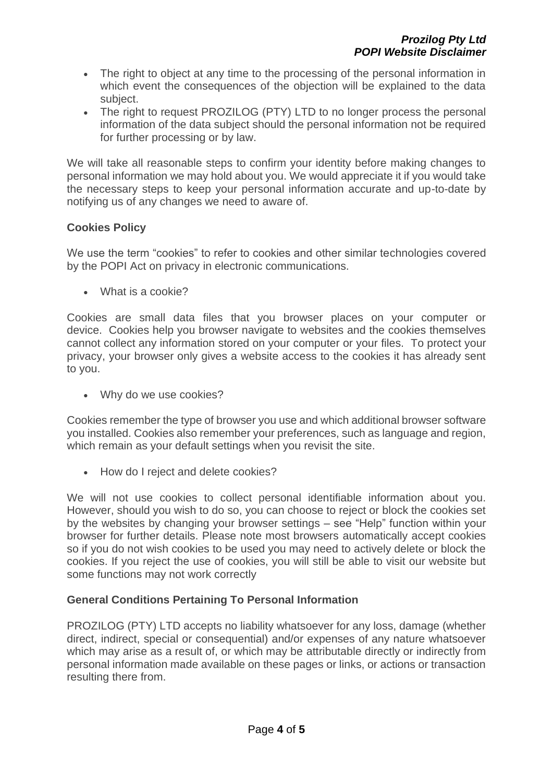- The right to object at any time to the processing of the personal information in which event the consequences of the objection will be explained to the data subject.
- The right to request PROZILOG (PTY) LTD to no longer process the personal information of the data subject should the personal information not be required for further processing or by law.

We will take all reasonable steps to confirm your identity before making changes to personal information we may hold about you. We would appreciate it if you would take the necessary steps to keep your personal information accurate and up-to-date by notifying us of any changes we need to aware of.

# **Cookies Policy**

We use the term "cookies" to refer to cookies and other similar technologies covered by the POPI Act on privacy in electronic communications.

• What is a cookie?

Cookies are small data files that you browser places on your computer or device. Cookies help you browser navigate to websites and the cookies themselves cannot collect any information stored on your computer or your files. To protect your privacy, your browser only gives a website access to the cookies it has already sent to you.

• Why do we use cookies?

Cookies remember the type of browser you use and which additional browser software you installed. Cookies also remember your preferences, such as language and region, which remain as your default settings when you revisit the site.

• How do I reject and delete cookies?

We will not use cookies to collect personal identifiable information about you. However, should you wish to do so, you can choose to reject or block the cookies set by the websites by changing your browser settings – see "Help" function within your browser for further details. Please note most browsers automatically accept cookies so if you do not wish cookies to be used you may need to actively delete or block the cookies. If you reject the use of cookies, you will still be able to visit our website but some functions may not work correctly

# **General Conditions Pertaining To Personal Information**

PROZILOG (PTY) LTD accepts no liability whatsoever for any loss, damage (whether direct, indirect, special or consequential) and/or expenses of any nature whatsoever which may arise as a result of, or which may be attributable directly or indirectly from personal information made available on these pages or links, or actions or transaction resulting there from.